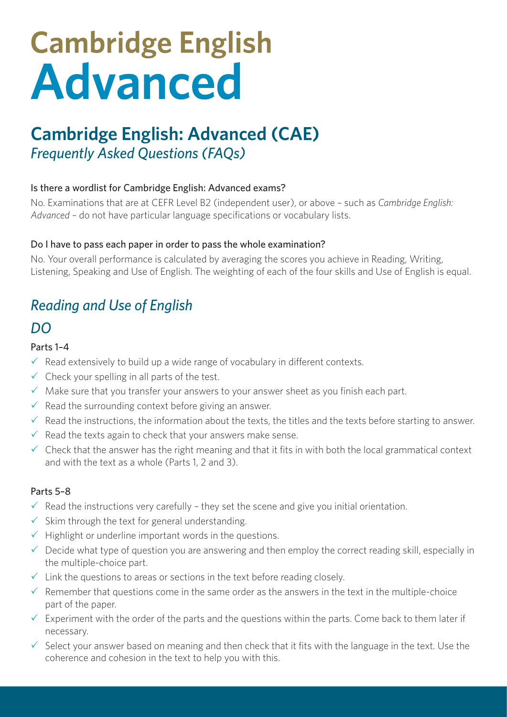# **Cambridge English<br>Advanced**

# **Cambridge English: Advanced (CAE)** *Frequently Asked Questions (FAQs)*

#### Is there a wordlist for Cambridge English: Advanced exams?

No. Examinations that are at CEFR Level B2 (independent user), or above – such as *Cambridge English: Advanced* – do not have particular language specifications or vocabulary lists.

#### Do I have to pass each paper in order to pass the whole examination?

No. Your overall performance is calculated by averaging the scores you achieve in Reading, Writing, Listening, Speaking and Use of English. The weighting of each of the four skills and Use of English is equal.

## *Reading and Use of English*

### *DO*

#### Parts 1–4

- $\checkmark$  Read extensively to build up a wide range of vocabulary in different contexts.
- $\checkmark$  Check your spelling in all parts of the test.
- $\checkmark$  Make sure that you transfer your answers to your answer sheet as you finish each part.
- $\sqrt{\ }$  Read the surrounding context before giving an answer.
- $\checkmark$  Read the instructions, the information about the texts, the titles and the texts before starting to answer.
- $\sqrt{\ }$  Read the texts again to check that your answers make sense.
- $\checkmark$  Check that the answer has the right meaning and that it fits in with both the local grammatical context and with the text as a whole (Parts 1, 2 and 3).

#### Parts 5–8

- $\checkmark$  Read the instructions very carefully they set the scene and give you initial orientation.
- $\checkmark$  Skim through the text for general understanding.
- $\sqrt{ }$  Highlight or underline important words in the questions.
- $\checkmark$  Decide what type of question you are answering and then employ the correct reading skill, especially in the multiple-choice part.
- $\checkmark$  Link the questions to areas or sections in the text before reading closely.
- $\checkmark$  Remember that questions come in the same order as the answers in the text in the multiple-choice part of the paper.
- $\checkmark$  Experiment with the order of the parts and the questions within the parts. Come back to them later if necessary.
- $\checkmark$  Select your answer based on meaning and then check that it fits with the language in the text. Use the coherence and cohesion in the text to help you with this.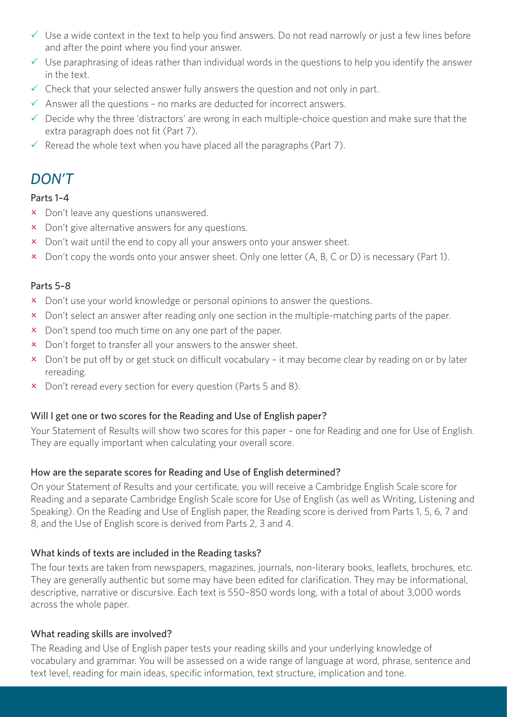- $\checkmark$  Use a wide context in the text to help you find answers. Do not read narrowly or just a few lines before and after the point where you find your answer.
- $\checkmark$  Use paraphrasing of ideas rather than individual words in the questions to help you identify the answer in the text.
- $\checkmark$  Check that your selected answer fully answers the question and not only in part.
- $\checkmark$  Answer all the questions no marks are deducted for incorrect answers.
- $\checkmark$  Decide why the three 'distractors' are wrong in each multiple-choice question and make sure that the extra paragraph does not fit (Part 7).
- $\checkmark$  Reread the whole text when you have placed all the paragraphs (Part 7).

## *DON'T*

#### Parts 1–4

- **x** Don't leave any questions unanswered.
- $\times$  Don't give alternative answers for any questions.
- x Don't wait until the end to copy all your answers onto your answer sheet.
- $\overline{\phantom{a}}$  Don't copy the words onto your answer sheet. Only one letter (A, B, C or D) is necessary (Part 1).

#### Parts 5–8

- x Don't use your world knowledge or personal opinions to answer the questions.
- **EX** Don't select an answer after reading only one section in the multiple-matching parts of the paper.
- x Don't spend too much time on any one part of the paper.
- x Don't forget to transfer all your answers to the answer sheet.
- x Don't be put off by or get stuck on difficult vocabulary it may become clear by reading on or by later rereading.
- $\times$  Don't reread every section for every question (Parts 5 and 8).

#### Will I get one or two scores for the Reading and Use of English paper?

Your Statement of Results will show two scores for this paper – one for Reading and one for Use of English. They are equally important when calculating your overall score.

#### How are the separate scores for Reading and Use of English determined?

On your Statement of Results and your certificate, you will receive a Cambridge English Scale score for Reading and a separate Cambridge English Scale score for Use of English (as well as Writing, Listening and Speaking). On the Reading and Use of English paper, the Reading score is derived from Parts 1, 5, 6, 7 and 8, and the Use of English score is derived from Parts 2, 3 and 4.

#### What kinds of texts are included in the Reading tasks?

The four texts are taken from newspapers, magazines, journals, non-literary books, leaflets, brochures, etc. They are generally authentic but some may have been edited for clarification. They may be informational, descriptive, narrative or discursive. Each text is 550–850 words long, with a total of about 3,000 words across the whole paper.

#### What reading skills are involved?

The Reading and Use of English paper tests your reading skills and your underlying knowledge of vocabulary and grammar. You will be assessed on a wide range of language at word, phrase, sentence and text level, reading for main ideas, specific information, text structure, implication and tone.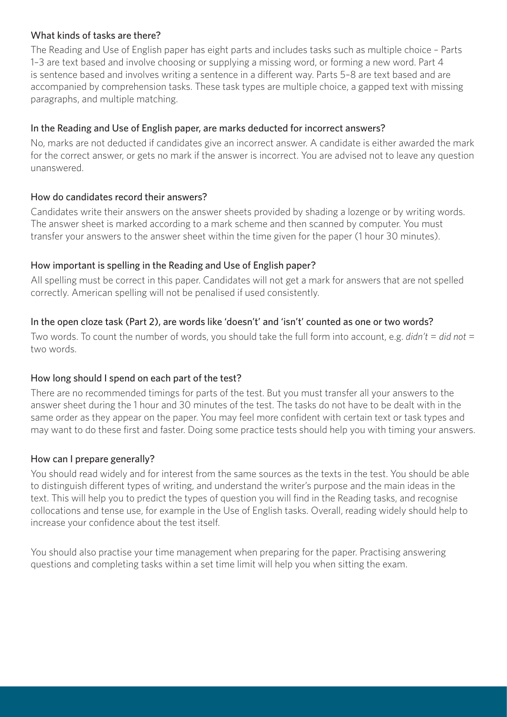#### What kinds of tasks are there?

The Reading and Use of English paper has eight parts and includes tasks such as multiple choice – Parts 1–3 are text based and involve choosing or supplying a missing word, or forming a new word. Part 4 is sentence based and involves writing a sentence in a different way. Parts 5–8 are text based and are accompanied by comprehension tasks. These task types are multiple choice, a gapped text with missing paragraphs, and multiple matching.

#### In the Reading and Use of English paper, are marks deducted for incorrect answers?

No, marks are not deducted if candidates give an incorrect answer. A candidate is either awarded the mark for the correct answer, or gets no mark if the answer is incorrect. You are advised not to leave any question unanswered.

#### How do candidates record their answers?

Candidates write their answers on the answer sheets provided by shading a lozenge or by writing words. The answer sheet is marked according to a mark scheme and then scanned by computer. You must transfer your answers to the answer sheet within the time given for the paper (1 hour 30 minutes).

#### How important is spelling in the Reading and Use of English paper?

All spelling must be correct in this paper. Candidates will not get a mark for answers that are not spelled correctly. American spelling will not be penalised if used consistently.

#### In the open cloze task (Part 2), are words like 'doesn't' and 'isn't' counted as one or two words?

Two words. To count the number of words, you should take the full form into account, e.g. *didn't* = *did not* = two words.

#### How long should I spend on each part of the test?

There are no recommended timings for parts of the test. But you must transfer all your answers to the answer sheet during the 1 hour and 30 minutes of the test. The tasks do not have to be dealt with in the same order as they appear on the paper. You may feel more confident with certain text or task types and may want to do these first and faster. Doing some practice tests should help you with timing your answers.

#### How can I prepare generally?

You should read widely and for interest from the same sources as the texts in the test. You should be able to distinguish different types of writing, and understand the writer's purpose and the main ideas in the text. This will help you to predict the types of question you will find in the Reading tasks, and recognise collocations and tense use, for example in the Use of English tasks. Overall, reading widely should help to increase your confidence about the test itself.

You should also practise your time management when preparing for the paper. Practising answering questions and completing tasks within a set time limit will help you when sitting the exam.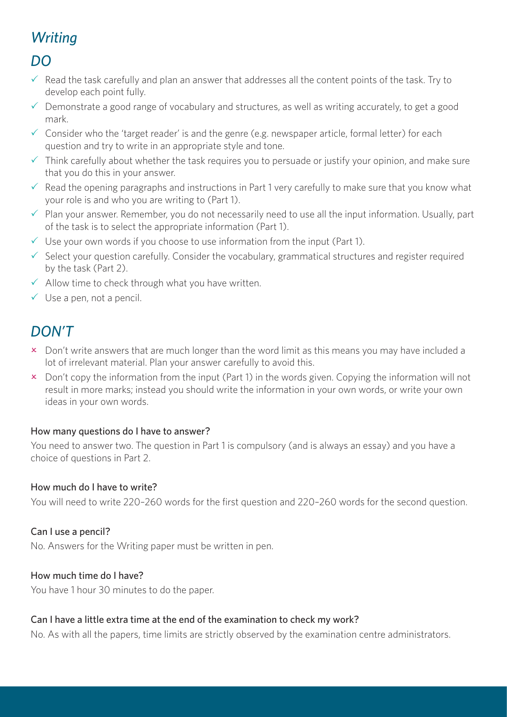# *Writing*

## *DO*

- $\checkmark$  Read the task carefully and plan an answer that addresses all the content points of the task. Try to develop each point fully.
- $\checkmark$  Demonstrate a good range of vocabulary and structures, as well as writing accurately, to get a good mark.
- $\checkmark$  Consider who the 'target reader' is and the genre (e.g. newspaper article, formal letter) for each question and try to write in an appropriate style and tone.
- $\checkmark$  Think carefully about whether the task requires you to persuade or justify your opinion, and make sure that you do this in your answer.
- $\checkmark$  Read the opening paragraphs and instructions in Part 1 very carefully to make sure that you know what your role is and who you are writing to (Part 1).
- $\checkmark$  Plan your answer. Remember, you do not necessarily need to use all the input information. Usually, part of the task is to select the appropriate information (Part 1).
- $\checkmark$  Use your own words if you choose to use information from the input (Part 1).
- $\checkmark$  Select your question carefully. Consider the vocabulary, grammatical structures and register required by the task (Part 2).
- $\checkmark$  Allow time to check through what you have written.
- $\checkmark$  Use a pen, not a pencil.

## *DON'T*

- x Don't write answers that are much longer than the word limit as this means you may have included a lot of irrelevant material. Plan your answer carefully to avoid this.
- x Don't copy the information from the input (Part 1) in the words given. Copying the information will not result in more marks; instead you should write the information in your own words, or write your own ideas in your own words.

#### How many questions do I have to answer?

You need to answer two. The question in Part 1 is compulsory (and is always an essay) and you have a choice of questions in Part 2.

#### How much do I have to write?

You will need to write 220–260 words for the first question and 220–260 words for the second question.

#### Can I use a pencil?

No. Answers for the Writing paper must be written in pen.

#### How much time do I have?

You have 1 hour 30 minutes to do the paper.

#### Can I have a little extra time at the end of the examination to check my work?

No. As with all the papers, time limits are strictly observed by the examination centre administrators.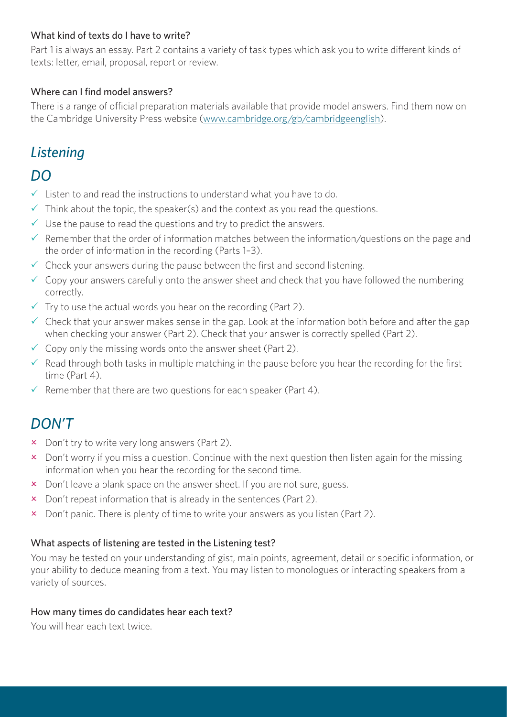#### What kind of texts do I have to write?

Part 1 is always an essay. Part 2 contains a variety of task types which ask you to write different kinds of texts: letter, email, proposal, report or review.

#### Where can I find model answers?

There is a range of official preparation materials available that provide model answers. Find them now on the Cambridge University Press website ([www.cambridge.org/gb/cambridgeenglish](http://www.cambridge.org/gb/cambridgeenglish)).

## *Listening*

## *DO*

- $\checkmark$  Listen to and read the instructions to understand what you have to do.
- $\checkmark$  Think about the topic, the speaker(s) and the context as you read the questions.
- $\checkmark$  Use the pause to read the questions and try to predict the answers.
- $\checkmark$  Remember that the order of information matches between the information/questions on the page and the order of information in the recording (Parts 1–3).
- $\checkmark$  Check your answers during the pause between the first and second listening.
- $\checkmark$  Copy your answers carefully onto the answer sheet and check that you have followed the numbering correctly.
- $\checkmark$  Try to use the actual words you hear on the recording (Part 2).
- $\checkmark$  Check that your answer makes sense in the gap. Look at the information both before and after the gap when checking your answer (Part 2). Check that your answer is correctly spelled (Part 2).
- $\checkmark$  Copy only the missing words onto the answer sheet (Part 2).
- $\checkmark$  Read through both tasks in multiple matching in the pause before you hear the recording for the first time (Part 4).
- $\checkmark$  Remember that there are two questions for each speaker (Part 4).

## *DON'T*

- $\times$  Don't try to write very long answers (Part 2).
- $\overline{\phantom{a}}$  Don't worry if you miss a question. Continue with the next question then listen again for the missing information when you hear the recording for the second time.
- $\boldsymbol{\times}$  Don't leave a blank space on the answer sheet. If you are not sure, guess.
- $\times$  Don't repeat information that is already in the sentences (Part 2).
- $\overline{\phantom{a}}$  Don't panic. There is plenty of time to write your answers as you listen (Part 2).

#### What aspects of listening are tested in the Listening test?

You may be tested on your understanding of gist, main points, agreement, detail or specific information, or your ability to deduce meaning from a text. You may listen to monologues or interacting speakers from a variety of sources.

#### How many times do candidates hear each text?

You will hear each text twice.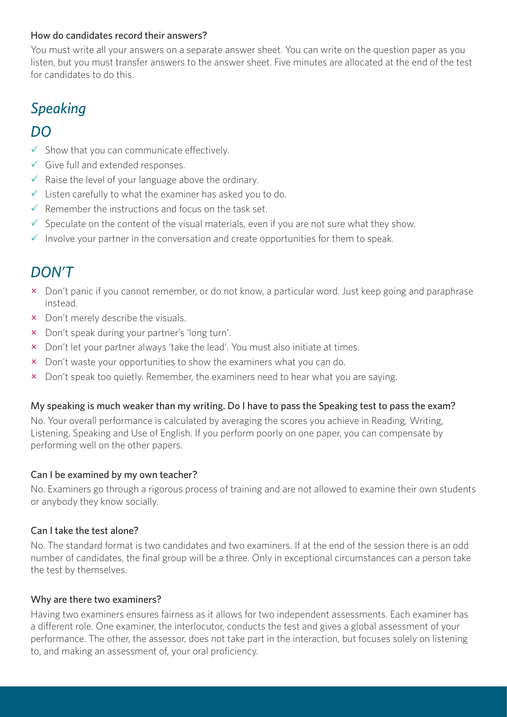#### How do candidates record their answers?

You must write all your answers on a separate answer sheet. You can write on the question paper as you listen, but you must transfer answers to the answer sheet. Five minutes are allocated at the end of the test for candidates to do this.

# *Speaking*

## *DO*

- $\checkmark$  Show that you can communicate effectively.
- $\checkmark$  Give full and extended responses.
- $\checkmark$  Raise the level of your language above the ordinary.
- $\checkmark$  Listen carefully to what the examiner has asked you to do.
- $\checkmark$  Remember the instructions and focus on the task set.
- $\checkmark$  Speculate on the content of the visual materials, even if you are not sure what they show.
- $\checkmark$  Involve your partner in the conversation and create opportunities for them to speak.

## *DON'T*

- x Don't panic if you cannot remember, or do not know, a particular word. Just keep going and paraphrase instead.
- $\times$  Don't merely describe the visuals.
- x Don't speak during your partner's 'long turn'.
- x Don't let your partner always 'take the lead'. You must also initiate at times.
- $\times$  Don't waste your opportunities to show the examiners what you can do.
- $\times$  Don't speak too quietly. Remember, the examiners need to hear what you are saying.

#### My speaking is much weaker than my writing. Do I have to pass the Speaking test to pass the exam?

No. Your overall performance is calculated by averaging the scores you achieve in Reading, Writing, Listening, Speaking and Use of English. If you perform poorly on one paper, you can compensate by performing well on the other papers.

#### Can I be examined by my own teacher?

No. Examiners go through a rigorous process of training and are not allowed to examine their own students or anybody they know socially.

#### Can I take the test alone?

No. The standard format is two candidates and two examiners. If at the end of the session there is an odd number of candidates, the final group will be a three. Only in exceptional circumstances can a person take the test by themselves.

#### Why are there two examiners?

Having two examiners ensures fairness as it allows for two independent assessments. Each examiner has a different role. One examiner, the interlocutor, conducts the test and gives a global assessment of your performance. The other, the assessor, does not take part in the interaction, but focuses solely on listening to, and making an assessment of, your oral proficiency.